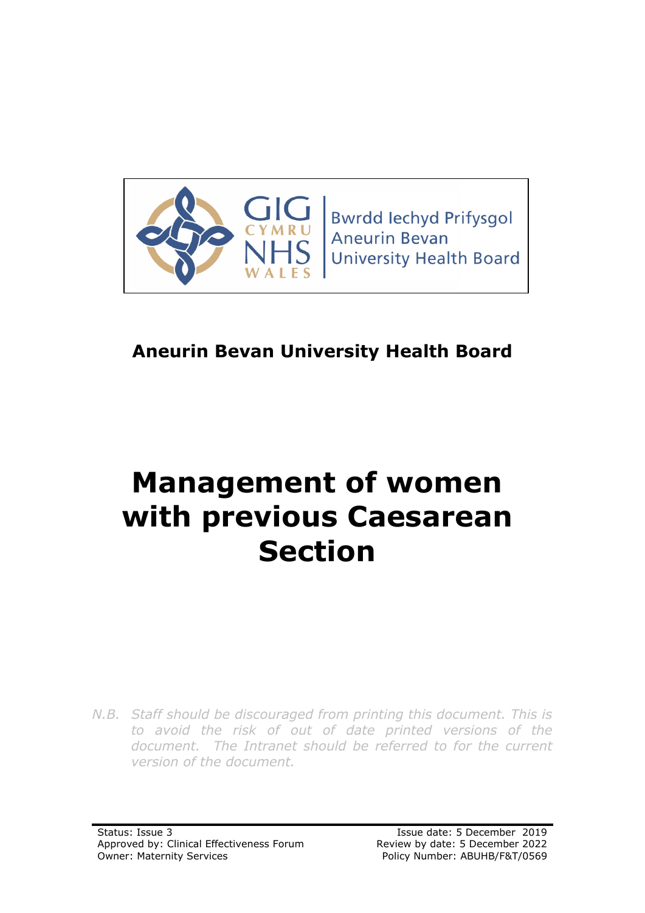

**Bwrdd lechyd Prifysgol Aneurin Bevan University Health Board** 

# **Aneurin Bevan University Health Board**

# **Management of women with previous Caesarean Section**

*N.B. Staff should be discouraged from printing this document. This is to avoid the risk of out of date printed versions of the document. The Intranet should be referred to for the current version of the document.*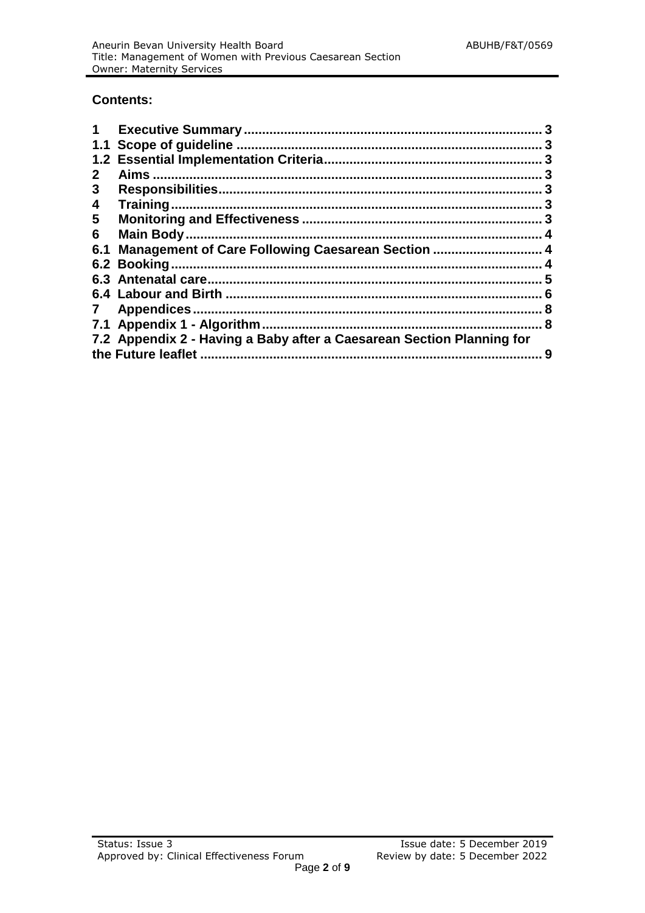#### **Contents:**

|              |                                                                       | 3 |
|--------------|-----------------------------------------------------------------------|---|
|              |                                                                       |   |
|              |                                                                       | 3 |
|              |                                                                       |   |
| 3            |                                                                       | 3 |
| 4            | Training.                                                             | З |
| $5^{\circ}$  |                                                                       |   |
| 6            | Main Body                                                             | 4 |
| 6.1          | Management of Care Following Caesarean Section  4                     |   |
|              | 6.2 Booking.                                                          |   |
|              |                                                                       | 5 |
|              |                                                                       |   |
| $\mathbf{7}$ |                                                                       |   |
|              | 7.1 Appendix 1 - Algorithm.                                           | 8 |
|              | 7.2 Appendix 2 - Having a Baby after a Caesarean Section Planning for |   |
|              | the Future leaflet                                                    | 9 |
|              |                                                                       |   |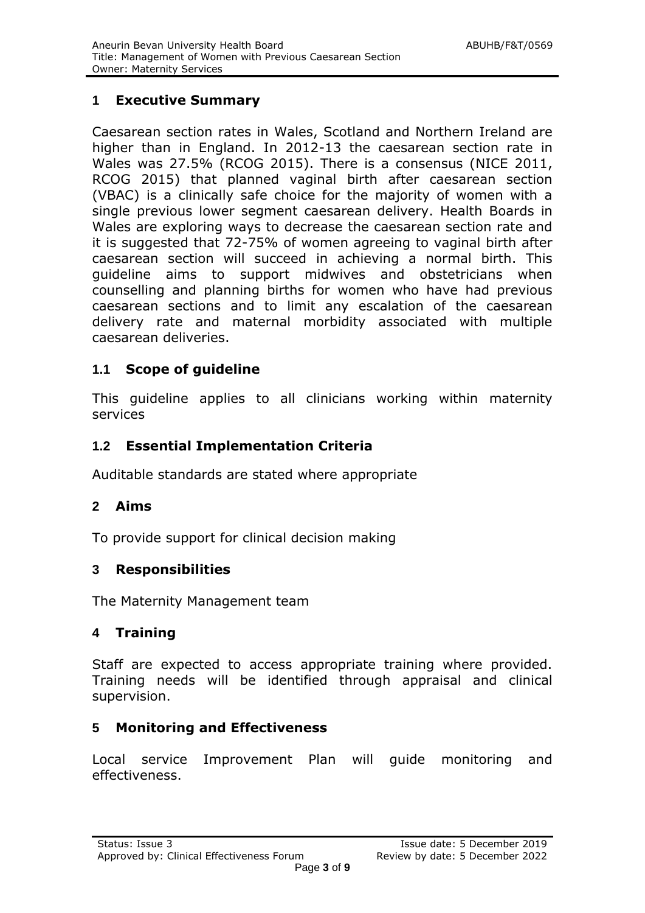# **1 Executive Summary**

Caesarean section rates in Wales, Scotland and Northern Ireland are higher than in England. In 2012-13 the caesarean section rate in Wales was 27.5% (RCOG 2015). There is a consensus (NICE 2011, RCOG 2015) that planned vaginal birth after caesarean section (VBAC) is a clinically safe choice for the majority of women with a single previous lower segment caesarean delivery. Health Boards in Wales are exploring ways to decrease the caesarean section rate and it is suggested that 72-75% of women agreeing to vaginal birth after caesarean section will succeed in achieving a normal birth. This guideline aims to support midwives and obstetricians when counselling and planning births for women who have had previous caesarean sections and to limit any escalation of the caesarean delivery rate and maternal morbidity associated with multiple caesarean deliveries.

## **1.1 Scope of guideline**

This guideline applies to all clinicians working within maternity services

#### **1.2 Essential Implementation Criteria**

Auditable standards are stated where appropriate

#### **2 Aims**

To provide support for clinical decision making

#### **3 Responsibilities**

The Maternity Management team

#### **4 Training**

Staff are expected to access appropriate training where provided. Training needs will be identified through appraisal and clinical supervision.

#### **5 Monitoring and Effectiveness**

Local service Improvement Plan will guide monitoring and effectiveness.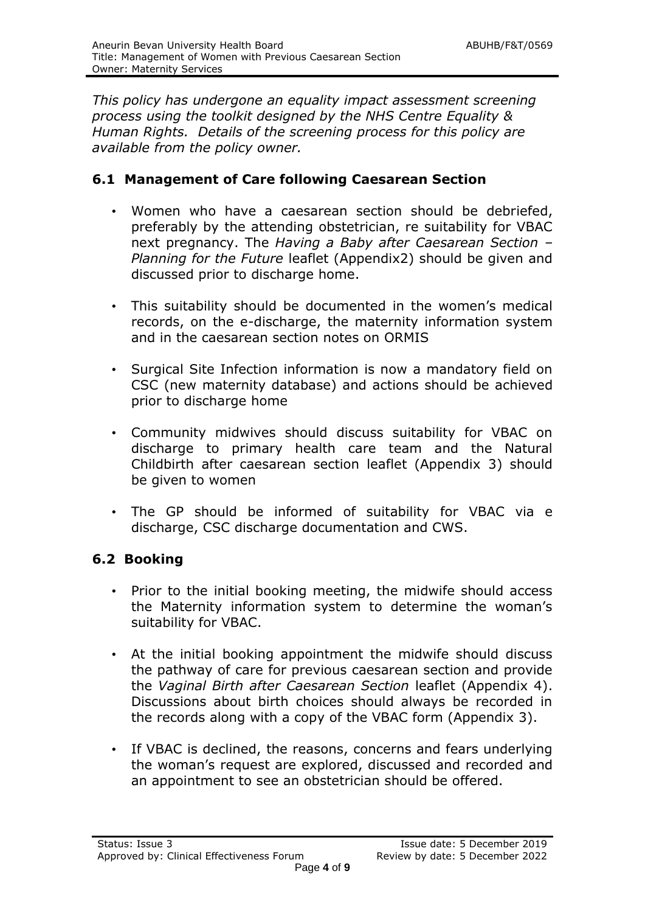*This policy has undergone an equality impact assessment screening process using the toolkit designed by the NHS Centre Equality & Human Rights. Details of the screening process for this policy are available from the policy owner.*

#### **6.1 Management of Care following Caesarean Section**

- Women who have a caesarean section should be debriefed, preferably by the attending obstetrician, re suitability for VBAC next pregnancy. The *Having a Baby after Caesarean Section – Planning for the Future* leaflet (Appendix2) should be given and discussed prior to discharge home.
- This suitability should be documented in the women's medical records, on the e-discharge, the maternity information system and in the caesarean section notes on ORMIS
- Surgical Site Infection information is now a mandatory field on CSC (new maternity database) and actions should be achieved prior to discharge home
- Community midwives should discuss suitability for VBAC on discharge to primary health care team and the Natural Childbirth after caesarean section leaflet (Appendix 3) should be given to women
- The GP should be informed of suitability for VBAC via e discharge, CSC discharge documentation and CWS.

## **6.2 Booking**

- Prior to the initial booking meeting, the midwife should access the Maternity information system to determine the woman's suitability for VBAC.
- At the initial booking appointment the midwife should discuss the pathway of care for previous caesarean section and provide the *Vaginal Birth after Caesarean Section* leaflet (Appendix 4). Discussions about birth choices should always be recorded in the records along with a copy of the VBAC form (Appendix 3).
- If VBAC is declined, the reasons, concerns and fears underlying the woman's request are explored, discussed and recorded and an appointment to see an obstetrician should be offered.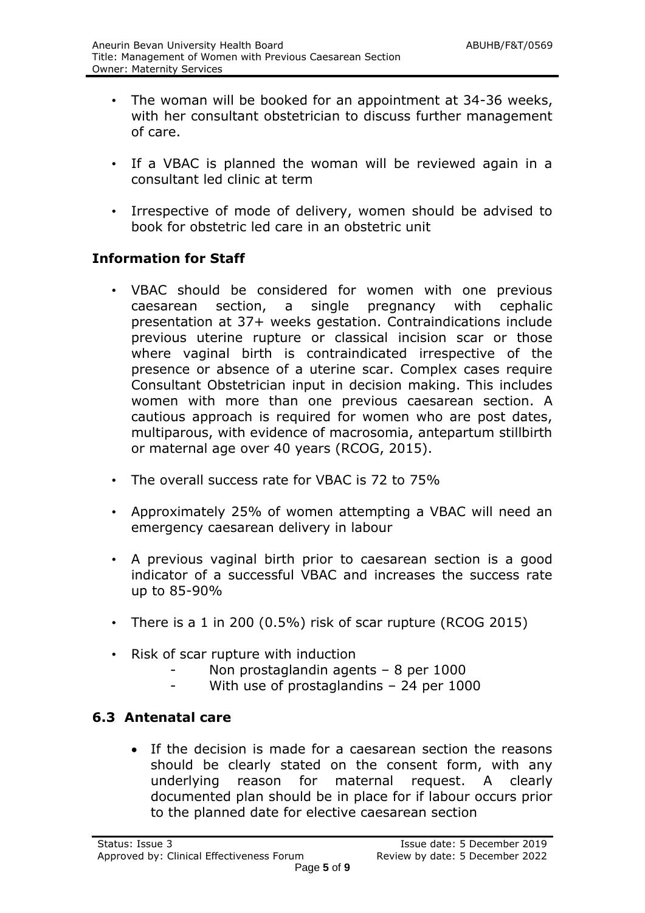- The woman will be booked for an appointment at 34-36 weeks, with her consultant obstetrician to discuss further management of care.
- If a VBAC is planned the woman will be reviewed again in a consultant led clinic at term
- Irrespective of mode of delivery, women should be advised to book for obstetric led care in an obstetric unit

# **Information for Staff**

- VBAC should be considered for women with one previous caesarean section, a single pregnancy with cephalic presentation at 37+ weeks gestation. Contraindications include previous uterine rupture or classical incision scar or those where vaginal birth is contraindicated irrespective of the presence or absence of a uterine scar. Complex cases require Consultant Obstetrician input in decision making. This includes women with more than one previous caesarean section. A cautious approach is required for women who are post dates, multiparous, with evidence of macrosomia, antepartum stillbirth or maternal age over 40 years (RCOG, 2015).
- The overall success rate for VBAC is 72 to 75%
- Approximately 25% of women attempting a VBAC will need an emergency caesarean delivery in labour
- A previous vaginal birth prior to caesarean section is a good indicator of a successful VBAC and increases the success rate up to 85-90%
- There is a 1 in 200 (0.5%) risk of scar rupture (RCOG 2015)
- Risk of scar rupture with induction
	- Non prostaglandin agents 8 per 1000
	- With use of prostaglandins  $-$  24 per 1000

## **6.3 Antenatal care**

 If the decision is made for a caesarean section the reasons should be clearly stated on the consent form, with any underlying reason for maternal request. A clearly documented plan should be in place for if labour occurs prior to the planned date for elective caesarean section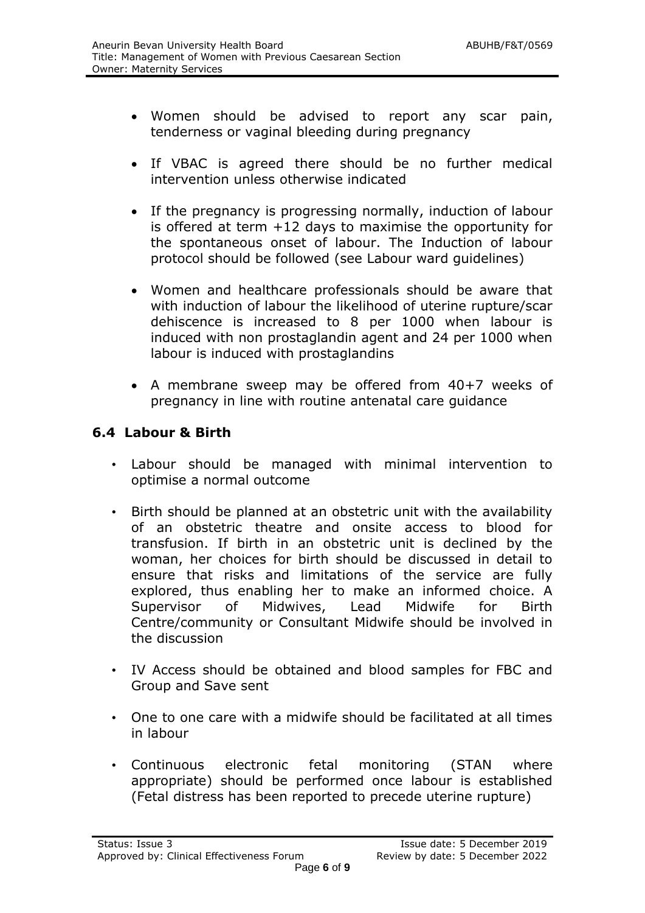- Women should be advised to report any scar pain, tenderness or vaginal bleeding during pregnancy
- If VBAC is agreed there should be no further medical intervention unless otherwise indicated
- If the pregnancy is progressing normally, induction of labour is offered at term  $+12$  days to maximise the opportunity for the spontaneous onset of labour. The Induction of labour protocol should be followed (see Labour ward guidelines)
- Women and healthcare professionals should be aware that with induction of labour the likelihood of uterine rupture/scar dehiscence is increased to 8 per 1000 when labour is induced with non prostaglandin agent and 24 per 1000 when labour is induced with prostaglandins
- A membrane sweep may be offered from 40+7 weeks of pregnancy in line with routine antenatal care guidance

#### **6.4 Labour & Birth**

- Labour should be managed with minimal intervention to optimise a normal outcome
- Birth should be planned at an obstetric unit with the availability of an obstetric theatre and onsite access to blood for transfusion. If birth in an obstetric unit is declined by the woman, her choices for birth should be discussed in detail to ensure that risks and limitations of the service are fully explored, thus enabling her to make an informed choice. A Supervisor of Midwives, Lead Midwife for Birth Centre/community or Consultant Midwife should be involved in the discussion
- IV Access should be obtained and blood samples for FBC and Group and Save sent
- One to one care with a midwife should be facilitated at all times in labour
- Continuous electronic fetal monitoring (STAN where appropriate) should be performed once labour is established (Fetal distress has been reported to precede uterine rupture)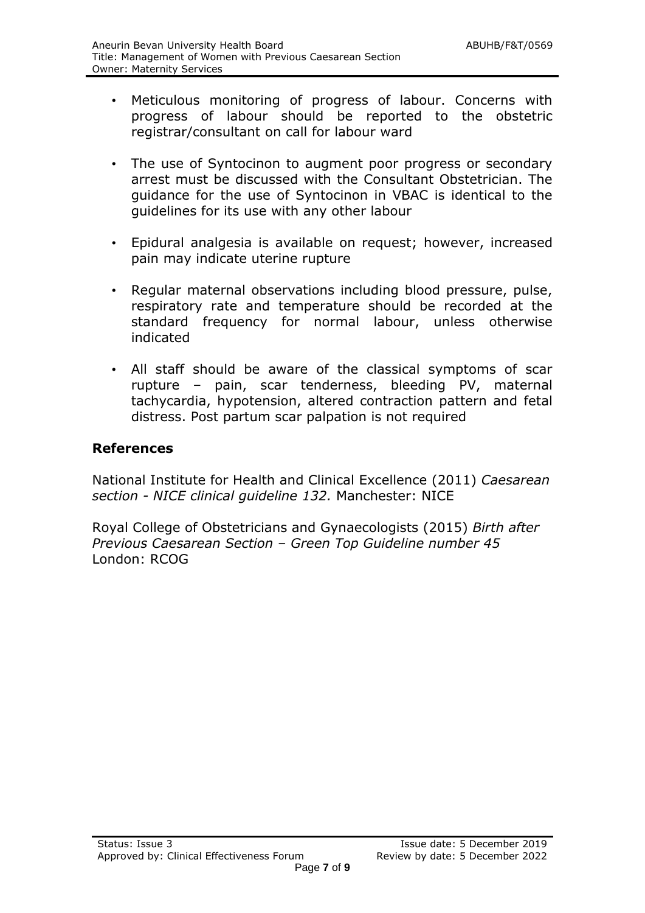- Meticulous monitoring of progress of labour. Concerns with progress of labour should be reported to the obstetric registrar/consultant on call for labour ward
- The use of Syntocinon to augment poor progress or secondary arrest must be discussed with the Consultant Obstetrician. The guidance for the use of Syntocinon in VBAC is identical to the guidelines for its use with any other labour
- Epidural analgesia is available on request; however, increased pain may indicate uterine rupture
- Regular maternal observations including blood pressure, pulse, respiratory rate and temperature should be recorded at the standard frequency for normal labour, unless otherwise indicated
- All staff should be aware of the classical symptoms of scar rupture – pain, scar tenderness, bleeding PV, maternal tachycardia, hypotension, altered contraction pattern and fetal distress. Post partum scar palpation is not required

#### **References**

National Institute for Health and Clinical Excellence (2011) *Caesarean section - NICE clinical guideline 132.* Manchester: NICE

Royal College of Obstetricians and Gynaecologists (2015) *Birth after Previous Caesarean Section – Green Top Guideline number 45* London: RCOG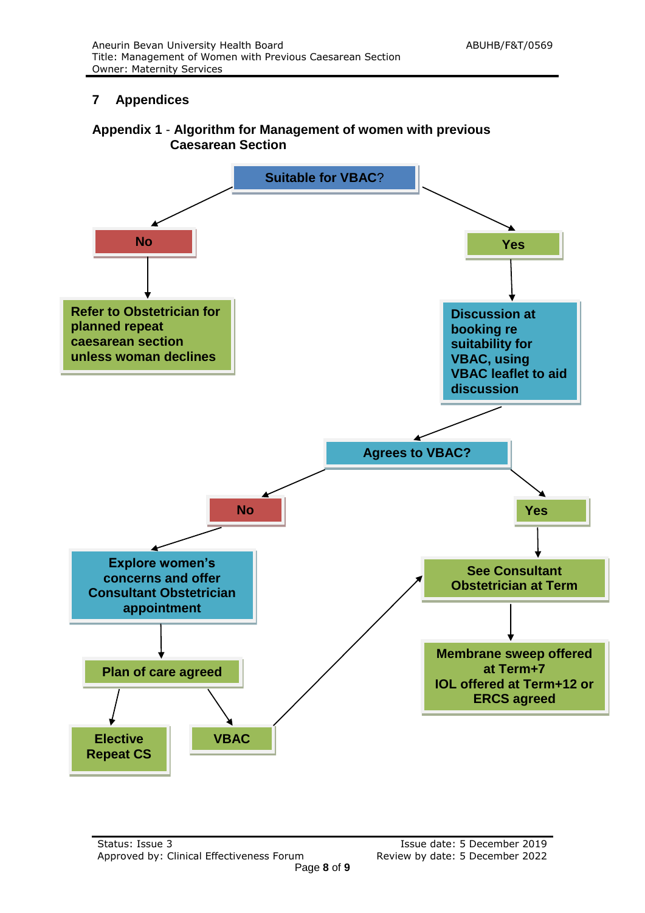#### **7 Appendices**

#### **Appendix 1** - **Algorithm for Management of women with previous Caesarean Section**